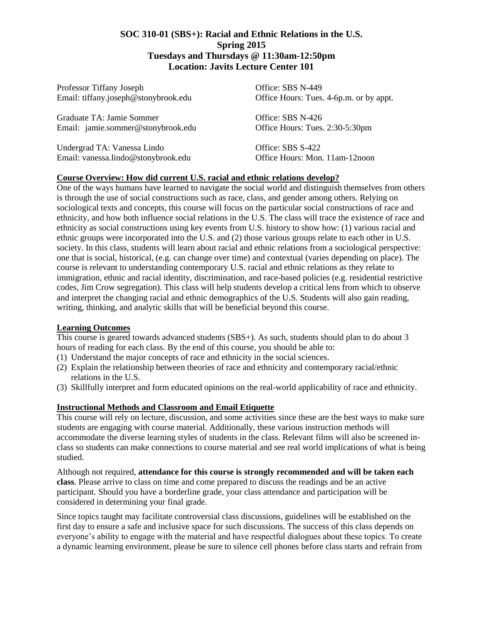## **SOC 310-01 (SBS+): Racial and Ethnic Relations in the U.S. Spring 2015 Tuesdays and Thursdays @ 11:30am-12:50pm Location: Javits Lecture Center 101**

Professor Tiffany Joseph Office: SBS N-449

Graduate TA: Jamie Sommer Office: SBS N-426 Email: jamie.sommer@stonybrook.edu Office Hours: Tues. 2:30-5:30pm

Undergrad TA: Vanessa Lindo Office: SBS S-422 Email: vanessa.lindo@stonybrook.edu Office Hours: Mon. 11am-12noon

Email: tiffany.joseph@stonybrook.edu Office Hours: Tues. 4-6p.m. or by appt.

## **Course Overview: How did current U.S. racial and ethnic relations develop?**

One of the ways humans have learned to navigate the social world and distinguish themselves from others is through the use of social constructions such as race, class, and gender among others. Relying on sociological texts and concepts, this course will focus on the particular social constructions of race and ethnicity, and how both influence social relations in the U.S. The class will trace the existence of race and ethnicity as social constructions using key events from U.S. history to show how: (1) various racial and ethnic groups were incorporated into the U.S. and (2) those various groups relate to each other in U.S. society. In this class, students will learn about racial and ethnic relations from a sociological perspective: one that is social, historical, (e.g. can change over time) and contextual (varies depending on place). The course is relevant to understanding contemporary U.S. racial and ethnic relations as they relate to immigration, ethnic and racial identity, discrimination, and race-based policies (e.g. residential restrictive codes, Jim Crow segregation). This class will help students develop a critical lens from which to observe and interpret the changing racial and ethnic demographics of the U.S. Students will also gain reading, writing, thinking, and analytic skills that will be beneficial beyond this course.

#### **Learning Outcomes**

This course is geared towards advanced students (SBS+). As such, students should plan to do about 3 hours of reading for each class. By the end of this course, you should be able to:

- (1) Understand the major concepts of race and ethnicity in the social sciences.
- (2) Explain the relationship between theories of race and ethnicity and contemporary racial/ethnic relations in the U.S.
- (3) Skillfully interpret and form educated opinions on the real-world applicability of race and ethnicity.

#### **Instructional Methods and Classroom and Email Etiquette**

This course will rely on lecture, discussion, and some activities since these are the best ways to make sure students are engaging with course material. Additionally, these various instruction methods will accommodate the diverse learning styles of students in the class. Relevant films will also be screened inclass so students can make connections to course material and see real world implications of what is being studied.

Although not required, **attendance for this course is strongly recommended and will be taken each class**. Please arrive to class on time and come prepared to discuss the readings and be an active participant. Should you have a borderline grade, your class attendance and participation will be considered in determining your final grade.

Since topics taught may facilitate controversial class discussions, guidelines will be established on the first day to ensure a safe and inclusive space for such discussions. The success of this class depends on everyone's ability to engage with the material and have respectful dialogues about these topics. To create a dynamic learning environment, please be sure to silence cell phones before class starts and refrain from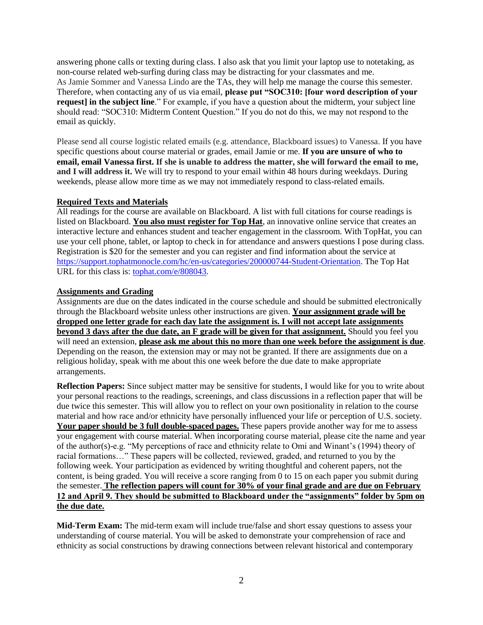answering phone calls or texting during class. I also ask that you limit your laptop use to notetaking, as non-course related web-surfing during class may be distracting for your classmates and me. As Jamie Sommer and Vanessa Lindo are the TAs, they will help me manage the course this semester. Therefore, when contacting any of us via email, **please put "SOC310: [four word description of your request]** in the subject line." For example, if you have a question about the midterm, your subject line should read: "SOC310: Midterm Content Question." If you do not do this, we may not respond to the email as quickly.

Please send all course logistic related emails (e.g. attendance, Blackboard issues) to Vanessa. If you have specific questions about course material or grades, email Jamie or me. **If you are unsure of who to email, email Vanessa first. If she is unable to address the matter, she will forward the email to me, and I will address it.** We will try to respond to your email within 48 hours during weekdays. During weekends, please allow more time as we may not immediately respond to class-related emails.

#### **Required Texts and Materials**

All readings for the course are available on Blackboard. A list with full citations for course readings is listed on Blackboard. **You also must register for Top Hat**, an innovative online service that creates an interactive lecture and enhances student and teacher engagement in the classroom. With TopHat, you can use your cell phone, tablet, or laptop to check in for attendance and answers questions I pose during class. Registration is \$20 for the semester and you can register and find information about the service at [https://support.tophatmonocle.com/hc/en-us/categories/200000744-Student-Orientation.](https://support.tophatmonocle.com/hc/en-us/categories/200000744-Student-Orientation) The Top Hat URL for this class is: [tophat.com/e/808043.](https://d.docs.live.net/a692688678323490/Documents/Stony%20Brook/2014-2015%20Academic%20Year/Spring%202015/Classes/SOC%20310/Syllabus/tophat.com/e/808043)

#### **Assignments and Grading**

Assignments are due on the dates indicated in the course schedule and should be submitted electronically through the Blackboard website unless other instructions are given. **Your assignment grade will be dropped one letter grade for each day late the assignment is. I will not accept late assignments beyond 3 days after the due date, an F grade will be given for that assignment.** Should you feel you will need an extension, **please ask me about this no more than one week before the assignment is due**. Depending on the reason, the extension may or may not be granted. If there are assignments due on a religious holiday, speak with me about this one week before the due date to make appropriate arrangements.

**Reflection Papers:** Since subject matter may be sensitive for students, I would like for you to write about your personal reactions to the readings, screenings, and class discussions in a reflection paper that will be due twice this semester. This will allow you to reflect on your own positionality in relation to the course material and how race and/or ethnicity have personally influenced your life or perception of U.S. society. **Your paper should be 3 full double-spaced pages.** These papers provide another way for me to assess your engagement with course material. When incorporating course material, please cite the name and year of the author(s)-e.g. "My perceptions of race and ethnicity relate to Omi and Winant's (1994) theory of racial formations…" These papers will be collected, reviewed, graded, and returned to you by the following week. Your participation as evidenced by writing thoughtful and coherent papers, not the content, is being graded. You will receive a score ranging from 0 to 15 on each paper you submit during the semester. **The reflection papers will count for 30% of your final grade and are due on February 12 and April 9. They should be submitted to Blackboard under the "assignments" folder by 5pm on the due date.**

**Mid-Term Exam:** The mid-term exam will include true/false and short essay questions to assess your understanding of course material. You will be asked to demonstrate your comprehension of race and ethnicity as social constructions by drawing connections between relevant historical and contemporary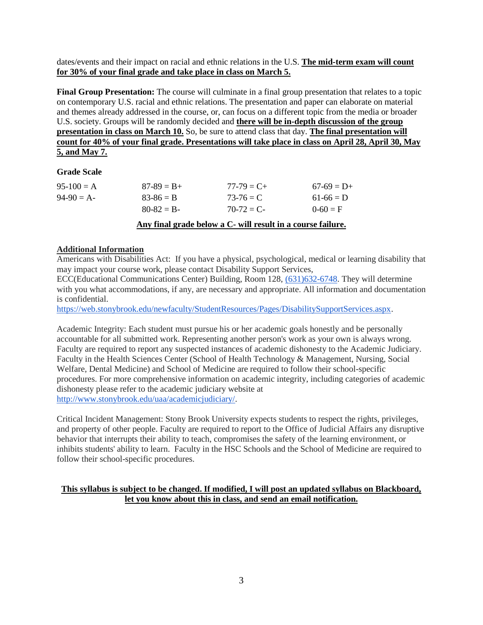dates/events and their impact on racial and ethnic relations in the U.S. **The mid-term exam will count for 30% of your final grade and take place in class on March 5.**

**Final Group Presentation:** The course will culminate in a final group presentation that relates to a topic on contemporary U.S. racial and ethnic relations. The presentation and paper can elaborate on material and themes already addressed in the course, or, can focus on a different topic from the media or broader U.S. society. Groups will be randomly decided and **there will be in-depth discussion of the group presentation in class on March 10.** So, be sure to attend class that day. **The final presentation will count for 40% of your final grade. Presentations will take place in class on April 28, April 30, May 5, and May 7.**

## **Grade Scale**

| $95-100 = A$ | $87-89 = B +$   | $77 - 79 = C +$  | $67-69 = D+$ |
|--------------|-----------------|------------------|--------------|
| $94-90 = A-$ | $83 - 86 = B$   | $73-76 = C$      | $61-66 = D$  |
|              | $80 - 82 = B -$ | $70-72 \equiv C$ | $0-60 = F$   |
|              |                 |                  |              |

## **Any final grade below a C- will result in a course failure.**

## **Additional Information**

Americans with Disabilities Act: If you have a physical, psychological, medical or learning disability that may impact your course work, please contact Disability Support Services,

ECC(Educational Communications Center) Building, Room 128, [\(631\)632-6748.](tel:%28631%29632-6748) They will determine with you what accommodations, if any, are necessary and appropriate. All information and documentation is confidential.

[https://web.stonybrook.edu/newfaculty/StudentResources/Pages/DisabilitySupportServices.aspx.](https://web.stonybrook.edu/newfaculty/StudentResources/Pages/DisabilitySupportServices.aspx)

Academic Integrity: Each student must pursue his or her academic goals honestly and be personally accountable for all submitted work. Representing another person's work as your own is always wrong. Faculty are required to report any suspected instances of academic dishonesty to the Academic Judiciary. Faculty in the Health Sciences Center (School of Health Technology & Management, Nursing, Social Welfare, Dental Medicine) and School of Medicine are required to follow their school-specific procedures. For more comprehensive information on academic integrity, including categories of academic dishonesty please refer to the academic judiciary website at [http://www.stonybrook.edu/uaa/academicjudiciary/.](http://www.stonybrook.edu/uaa/academicjudiciary/)

Critical Incident Management: Stony Brook University expects students to respect the rights, privileges, and property of other people. Faculty are required to report to the Office of Judicial Affairs any disruptive behavior that interrupts their ability to teach, compromises the safety of the learning environment, or inhibits students' ability to learn. Faculty in the HSC Schools and the School of Medicine are required to follow their school-specific procedures.

## **This syllabus is subject to be changed. If modified, I will post an updated syllabus on Blackboard, let you know about this in class, and send an email notification.**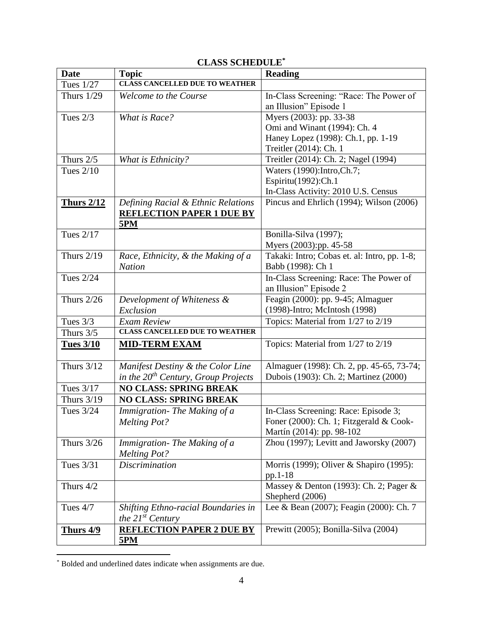| <b>Date</b>       | <b>Topic</b>                             | <b>Reading</b>                               |
|-------------------|------------------------------------------|----------------------------------------------|
| <b>Tues 1/27</b>  | <b>CLASS CANCELLED DUE TO WEATHER</b>    |                                              |
| Thurs $1/29$      | <b>Welcome to the Course</b>             | In-Class Screening: "Race: The Power of      |
|                   |                                          | an Illusion" Episode 1                       |
| Tues $2/3$        | What is Race?                            | Myers (2003): pp. 33-38                      |
|                   |                                          | Omi and Winant (1994): Ch. 4                 |
|                   |                                          | Haney Lopez (1998): Ch.1, pp. 1-19           |
|                   |                                          | Treitler (2014): Ch. 1                       |
| Thurs $2/5$       | What is Ethnicity?                       | Treitler (2014): Ch. 2; Nagel (1994)         |
| <b>Tues 2/10</b>  |                                          | Waters (1990): Intro, Ch.7;                  |
|                   |                                          | Espiritu(1992):Ch.1                          |
|                   |                                          | In-Class Activity: 2010 U.S. Census          |
| <b>Thurs 2/12</b> | Defining Racial & Ethnic Relations       | Pincus and Ehrlich (1994); Wilson (2006)     |
|                   | <b>REFLECTION PAPER 1 DUE BY</b>         |                                              |
| <b>Tues 2/17</b>  | <b>5PM</b>                               | Bonilla-Silva (1997);                        |
|                   |                                          | Myers (2003):pp. 45-58                       |
| <b>Thurs 2/19</b> | Race, Ethnicity, & the Making of a       | Takaki: Intro; Cobas et. al: Intro, pp. 1-8; |
|                   | <b>Nation</b>                            | Babb (1998): Ch 1                            |
| <b>Tues 2/24</b>  |                                          | In-Class Screening: Race: The Power of       |
|                   |                                          | an Illusion" Episode 2                       |
| Thurs $2/26$      | Development of Whiteness &               | Feagin (2000): pp. 9-45; Almaguer            |
|                   | Exclusion                                | (1998)-Intro; McIntosh (1998)                |
| Tues 3/3          | <b>Exam Review</b>                       | Topics: Material from 1/27 to 2/19           |
| Thurs 3/5         | <b>CLASS CANCELLED DUE TO WEATHER</b>    |                                              |
| <b>Tues 3/10</b>  | <b>MID-TERM EXAM</b>                     | Topics: Material from 1/27 to 2/19           |
|                   |                                          |                                              |
| <b>Thurs 3/12</b> | Manifest Destiny & the Color Line        | Almaguer (1998): Ch. 2, pp. 45-65, 73-74;    |
|                   | in the $20^{th}$ Century, Group Projects | Dubois (1903): Ch. 2; Martinez (2000)        |
| Tues 3/17         | <b>NO CLASS: SPRING BREAK</b>            |                                              |
| <b>Thurs 3/19</b> | <b>NO CLASS: SPRING BREAK</b>            |                                              |
| Tues 3/24         | Immigration-The Making of a              | In-Class Screening: Race: Episode 3;         |
|                   | <b>Melting Pot?</b>                      | Foner (2000): Ch. 1; Fitzgerald & Cook-      |
|                   |                                          | Martín (2014): pp. 98-102                    |
| <b>Thurs 3/26</b> | Immigration-The Making of a              | Zhou (1997); Levitt and Jaworsky (2007)      |
|                   | <b>Melting Pot?</b>                      |                                              |
| Tues 3/31         | <i>Discrimination</i>                    | Morris (1999); Oliver & Shapiro (1995):      |
|                   |                                          | pp.1-18                                      |
| Thurs 4/2         |                                          | Massey & Denton (1993): Ch. 2; Pager &       |
|                   |                                          | Shepherd (2006)                              |
| Tues 4/7          | Shifting Ethno-racial Boundaries in      | Lee & Bean (2007); Feagin (2000): Ch. 7      |
|                   | the $21^{st}$ Century                    |                                              |
| <b>Thurs 4/9</b>  | <b>REFLECTION PAPER 2 DUE BY</b>         | Prewitt (2005); Bonilla-Silva (2004)         |
|                   | <u>5PM</u>                               |                                              |

# **CLASS SCHEDULE\***

 $\overline{a}$ 

<sup>\*</sup> Bolded and underlined dates indicate when assignments are due.